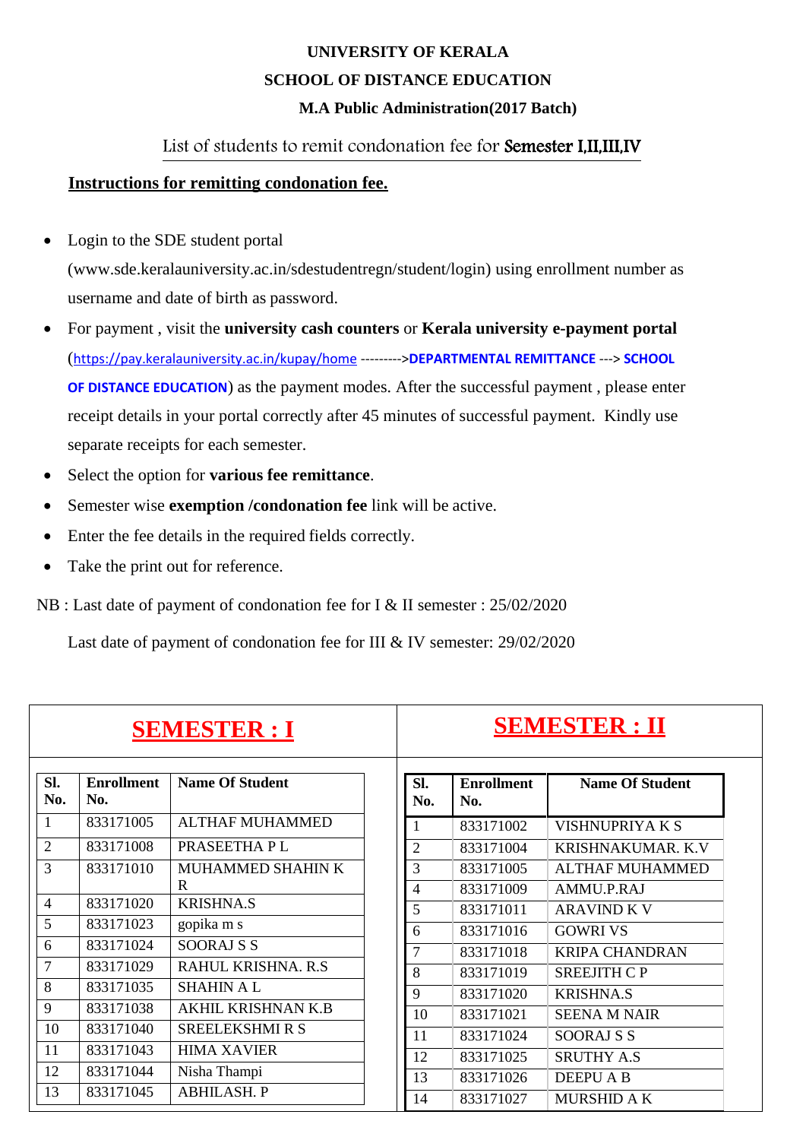## **UNIVERSITY OF KERALA SCHOOL OF DISTANCE EDUCATION M.A Public Administration(2017 Batch)**

### List of students to remit condonation fee for Semester I,II,III,IV

#### **Instructions for remitting condonation fee.**

- Login to the SDE student portal [\(www.sde.keralauniversity.ac.in/sdestudentregn/student/login\) u](http://www.sde.keralauniversity.ac.in/sdestudentregn/student/login))sing enrollment number as username and date of birth as password.
- For payment , visit the **university cash counters** or **Kerala university e-payment portal** (<https://pay.keralauniversity.ac.in/kupay/home> --------->**DEPARTMENTAL REMITTANCE** ---> **SCHOOL OF DISTANCE EDUCATION**) as the payment modes. After the successful payment , please enter receipt details in your portal correctly after 45 minutes of successful payment. Kindly use separate receipts for each semester.
- Select the option for **various fee remittance**.
- Semester wise **exemption /condonation fee** link will be active.
- Enter the fee details in the required fields correctly.
- Take the print out for reference.
- NB : Last date of payment of condonation fee for I & II semester : 25/02/2020

Last date of payment of condonation fee for III & IV semester: 29/02/2020

|                |                          | <b>SEMESTER : I</b>       |                |                          | <b>SEMESTER : II</b>      |
|----------------|--------------------------|---------------------------|----------------|--------------------------|---------------------------|
| Sl.<br>No.     | <b>Enrollment</b><br>No. | <b>Name Of Student</b>    | SI.<br>No.     | <b>Enrollment</b><br>No. | <b>Name Of Student</b>    |
|                | 833171005                | <b>ALTHAF MUHAMMED</b>    | 1              | 833171002                | <b>VISHNUPRIYAKS</b>      |
| $\overline{2}$ | 833171008                | PRASEETHA P L             | $\overline{2}$ | 833171004                | <b>KRISHNAKUMAR, K.V.</b> |
| 3              | 833171010                | MUHAMMED SHAHIN K         | 3              | 833171005                | <b>ALTHAF MUHAMMED</b>    |
|                |                          | R                         | 4              | 833171009                | AMMU.P.RAJ                |
| $\overline{4}$ | 833171020                | <b>KRISHNA.S</b>          | 5              | 833171011                | <b>ARAVIND K V</b>        |
| 5              | 833171023                | gopika m s                | 6              | 833171016                | <b>GOWRI VS</b>           |
| 6              | 833171024                | <b>SOORAJ S S</b>         | $\overline{7}$ | 833171018                | <b>KRIPA CHANDRAN</b>     |
| $\overline{7}$ | 833171029                | RAHUL KRISHNA, R.S.       | 8              | 833171019                | <b>SREEJITH CP</b>        |
| 8              | 833171035                | <b>SHAHIN AL</b>          | 9              | 833171020                | <b>KRISHNA.S</b>          |
| 9              | 833171038                | <b>AKHIL KRISHNAN K.B</b> | 10             | 833171021                | <b>SEENA M NAIR</b>       |
| 10             | 833171040                | <b>SREELEKSHMI R S</b>    | 11             | 833171024                | <b>SOORAJ S S</b>         |
| 11             | 833171043                | <b>HIMA XAVIER</b>        | 12             | 833171025                | <b>SRUTHY A.S</b>         |
| 12             | 833171044                | Nisha Thampi              | 13             | 833171026                | <b>DEEPU A B</b>          |
| 13             | 833171045                | <b>ABHILASH. P</b>        | 14             | 833171027                | <b>MURSHID A K</b>        |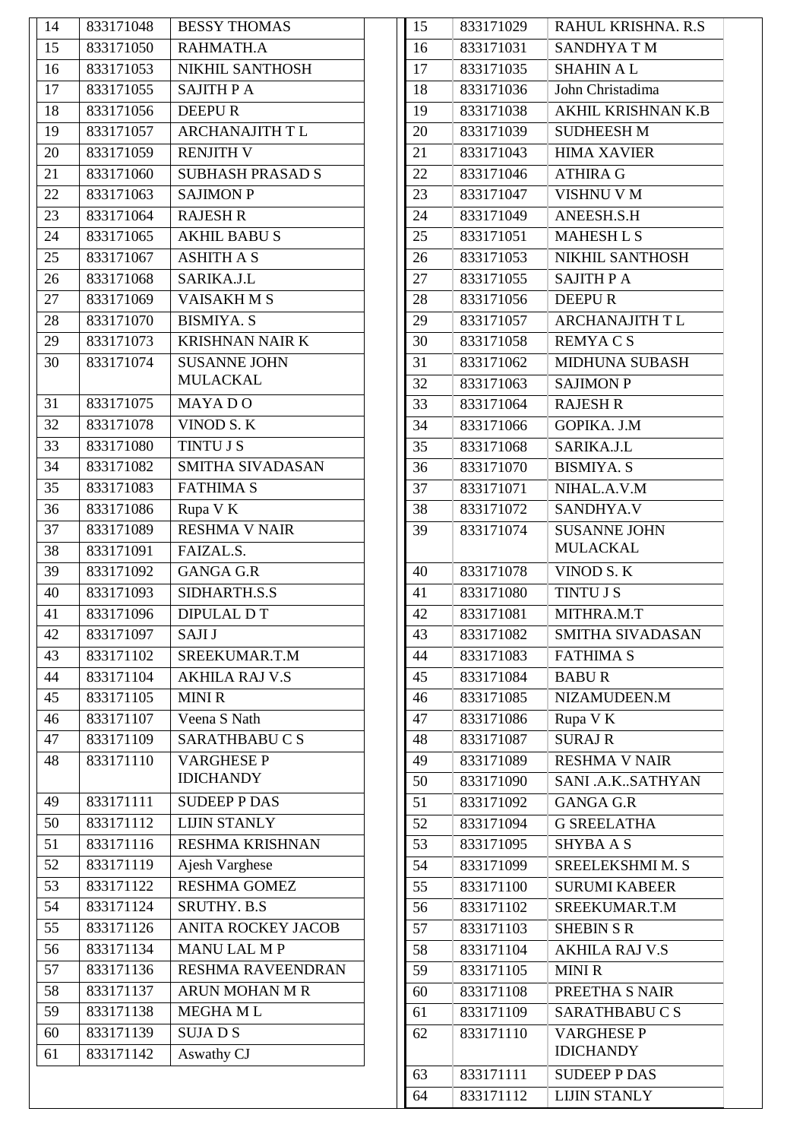| 833171050 |                           |
|-----------|---------------------------|
|           | RAHMATH.A                 |
| 833171053 | NIKHIL SANTHOSH           |
| 833171055 | <b>SAJITH P A</b>         |
| 833171056 | <b>DEEPUR</b>             |
| 833171057 | <b>ARCHANAJITH T L</b>    |
| 833171059 | <b>RENJITH V</b>          |
| 833171060 | <b>SUBHASH PRASAD S</b>   |
| 833171063 | <b>SAJIMON P</b>          |
| 833171064 | <b>RAJESH R</b>           |
| 833171065 | <b>AKHIL BABUS</b>        |
| 833171067 | <b>ASHITH A S</b>         |
| 833171068 | SARIKA.J.L                |
| 833171069 | <b>VAISAKHMS</b>          |
| 833171070 | <b>BISMIYA. S</b>         |
| 833171073 | <b>KRISHNAN NAIR K</b>    |
| 833171074 | <b>SUSANNE JOHN</b>       |
|           | <b>MULACKAL</b>           |
| 833171075 | <b>MAYADO</b>             |
| 833171078 | VINOD S.K                 |
| 833171080 | <b>TINTU J S</b>          |
| 833171082 | <b>SMITHA SIVADASAN</b>   |
| 833171083 | <b>FATHIMA S</b>          |
| 833171086 | Rupa V K                  |
| 833171089 | <b>RESHMA V NAIR</b>      |
| 833171091 | FAIZAL.S.                 |
| 833171092 | <b>GANGA G.R</b>          |
| 833171093 | SIDHARTH.S.S              |
| 833171096 | <b>DIPULAL DT</b>         |
| 833171097 | <b>SAJI J</b>             |
| 833171102 | SREEKUMAR.T.M             |
| 833171104 | <b>AKHILA RAJ V.S</b>     |
| 833171105 | <b>MINIR</b>              |
| 833171107 | Veena S Nath              |
| 833171109 | SARATHBABUCS              |
| 833171110 | <b>VARGHESE P</b>         |
|           | <b>IDICHANDY</b>          |
| 833171111 | <b>SUDEEP P DAS</b>       |
| 833171112 | <b>LIJIN STANLY</b>       |
| 833171116 | <b>RESHMA KRISHNAN</b>    |
| 833171119 | Ajesh Varghese            |
| 833171122 | <b>RESHMA GOMEZ</b>       |
| 833171124 | <b>SRUTHY. B.S</b>        |
| 833171126 | <b>ANITA ROCKEY JACOB</b> |
| 833171134 | <b>MANULAL MP</b>         |
| 833171136 | RESHMA RAVEENDRAN         |
| 833171137 | <b>ARUN MOHAN M R</b>     |
| 833171138 | <b>MEGHAML</b>            |
| 833171139 | <b>SUJADS</b>             |
| 833171142 | Aswathy CJ                |
|           |                           |

| 15 | 833171029 | RAHUL KRISHNA. R.S     |
|----|-----------|------------------------|
| 16 | 833171031 | <b>SANDHYATM</b>       |
| 17 | 833171035 | <b>SHAHIN AL</b>       |
| 18 | 833171036 | John Christadima       |
| 19 | 833171038 | AKHIL KRISHNAN K.B     |
| 20 | 833171039 | <b>SUDHEESH M</b>      |
| 21 | 833171043 | <b>HIMA XAVIER</b>     |
| 22 | 833171046 | <b>ATHIRA G</b>        |
| 23 | 833171047 | <b>VISHNU V M</b>      |
| 24 | 833171049 | ANEESH.S.H             |
| 25 | 833171051 | <b>MAHESH L S</b>      |
| 26 | 833171053 | NIKHIL SANTHOSH        |
| 27 | 833171055 | <b>SAJITH PA</b>       |
| 28 | 833171056 | <b>DEEPUR</b>          |
| 29 | 833171057 | <b>ARCHANAJITH T L</b> |
| 30 | 833171058 | <b>REMYACS</b>         |
| 31 | 833171062 | <b>MIDHUNA SUBASH</b>  |
| 32 | 833171063 | <b>SAJIMON P</b>       |
| 33 | 833171064 | <b>RAJESH R</b>        |
| 34 | 833171066 | GOPIKA. J.M            |
| 35 | 833171068 | SARIKA.J.L             |
| 36 | 833171070 | <b>BISMIYA. S</b>      |
| 37 | 833171071 | NIHAL.A.V.M            |
| 38 | 833171072 | SANDHYA.V              |
| 39 | 833171074 | <b>SUSANNE JOHN</b>    |
|    |           | <b>MULACKAL</b>        |
| 40 | 833171078 | VINOD S.K              |
| 41 | 833171080 | <b>TINTU J S</b>       |
| 42 | 833171081 | MITHRA.M.T             |
| 43 | 833171082 | SMITHA SIVADASAN       |
| 44 | 833171083 | <b>FATHIMA S</b>       |
| 45 | 833171084 | <b>BABUR</b>           |
| 46 | 833171085 | NIZAMUDEEN.M           |
| 47 | 833171086 | Rupa V K               |
| 48 | 833171087 | <b>SURAJ R</b>         |
| 49 | 833171089 | <b>RESHMA V NAIR</b>   |
| 50 | 833171090 | SANI .A.KSATHYAN       |
| 51 | 833171092 | <b>GANGA G.R</b>       |
| 52 | 833171094 | <b>G SREELATHA</b>     |
| 53 | 833171095 | <b>SHYBA A S</b>       |
| 54 | 833171099 | SREELEKSHMI M. S       |
| 55 | 833171100 | <b>SURUMI KABEER</b>   |
| 56 | 833171102 | SREEKUMAR.T.M          |
| 57 | 833171103 | <b>SHEBIN S R</b>      |
| 58 | 833171104 | <b>AKHILA RAJ V.S</b>  |
| 59 | 833171105 | <b>MINIR</b>           |
| 60 | 833171108 | PREETHA S NAIR         |
| 61 | 833171109 | SARATHBABUCS           |
| 62 | 833171110 | <b>VARGHESE P</b>      |
|    |           | <b>IDICHANDY</b>       |
| 63 | 833171111 | <b>SUDEEP P DAS</b>    |
| 64 | 833171112 | <b>LIJIN STANLY</b>    |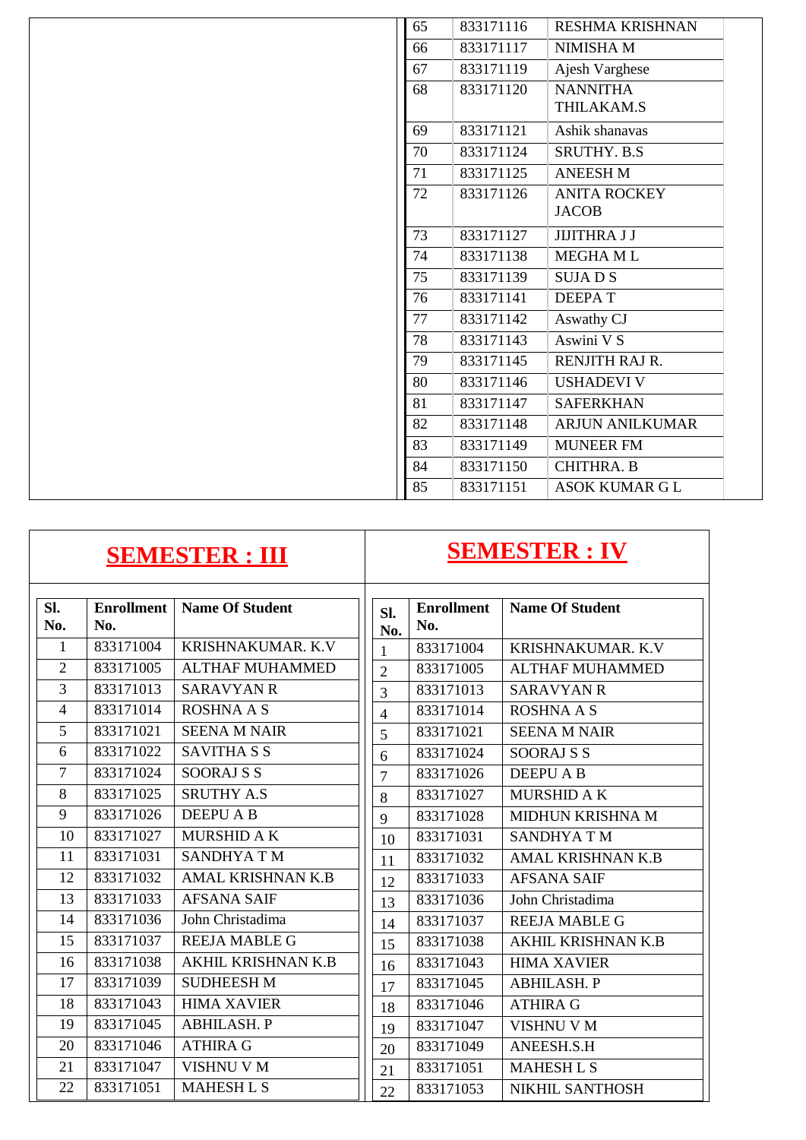| 65 | 833171116 | <b>RESHMA KRISHNAN</b>              |
|----|-----------|-------------------------------------|
| 66 | 833171117 | NIMISHA M                           |
| 67 | 833171119 | Ajesh Varghese                      |
| 68 | 833171120 | <b>NANNITHA</b><br>THILAKAM.S       |
| 69 | 833171121 | Ashik shanavas                      |
| 70 | 833171124 | <b>SRUTHY. B.S</b>                  |
| 71 | 833171125 | <b>ANEESH M</b>                     |
| 72 | 833171126 | <b>ANITA ROCKEY</b><br><b>JACOB</b> |
| 73 | 833171127 | <b>JIJITHRA J J</b>                 |
| 74 | 833171138 | <b>MEGHAML</b>                      |
| 75 | 833171139 | <b>SUJADS</b>                       |
| 76 | 833171141 | <b>DEEPAT</b>                       |
| 77 | 833171142 | Aswathy CJ                          |
| 78 | 833171143 | Aswini V S                          |
| 79 | 833171145 | RENJITH RAJ R.                      |
| 80 | 833171146 | <b>USHADEVI V</b>                   |
| 81 | 833171147 | <b>SAFERKHAN</b>                    |
| 82 | 833171148 | <b>ARJUN ANILKUMAR</b>              |
| 83 | 833171149 | <b>MUNEER FM</b>                    |
| 84 | 833171150 | <b>CHITHRA. B</b>                   |
| 85 | 833171151 | ASOK KUMAR G L                      |

# **SEMESTER : III SEMESTER : IV**

| Sl.            | <b>Enrollment</b> | <b>Name Of Student</b>    | Sl.            | <b>Enrollment</b> | <b>Name Of Student</b>    |
|----------------|-------------------|---------------------------|----------------|-------------------|---------------------------|
| No.            | No.               |                           | No.            | No.               |                           |
| $\mathbf{1}$   | 833171004         | KRISHNAKUMAR, K.V.        | 1              | 833171004         | <b>KRISHNAKUMAR, K.V.</b> |
| $\overline{2}$ | 833171005         | <b>ALTHAF MUHAMMED</b>    | $\overline{2}$ | 833171005         | <b>ALTHAF MUHAMMED</b>    |
| 3              | 833171013         | <b>SARAVYAN R</b>         | 3              | 833171013         | <b>SARAVYAN R</b>         |
| $\overline{4}$ | 833171014         | <b>ROSHNA A S</b>         | $\overline{4}$ | 833171014         | <b>ROSHNA A S</b>         |
| 5              | 833171021         | <b>SEENA M NAIR</b>       | 5              | 833171021         | <b>SEENA M NAIR</b>       |
| 6              | 833171022         | <b>SAVITHA S S</b>        | 6              | 833171024         | SOORAJ S S                |
| $\overline{7}$ | 833171024         | <b>SOORAJ S S</b>         | $\overline{7}$ | 833171026         | <b>DEEPU A B</b>          |
| 8              | 833171025         | <b>SRUTHY A.S</b>         | 8              | 833171027         | <b>MURSHID A K</b>        |
| 9              | 833171026         | <b>DEEPU A B</b>          | 9              | 833171028         | MIDHUN KRISHNA M          |
| 10             | 833171027         | MURSHID A K               | 10             | 833171031         | <b>SANDHYATM</b>          |
| 11             | 833171031         | <b>SANDHYATM</b>          | 11             | 833171032         | <b>AMAL KRISHNAN K.B</b>  |
| 12             | 833171032         | AMAL KRISHNAN K.B         | 12             | 833171033         | <b>AFSANA SAIF</b>        |
| 13             | 833171033         | <b>AFSANA SAIF</b>        | 13             | 833171036         | John Christadima          |
| 14             | 833171036         | John Christadima          | 14             | 833171037         | <b>REEJA MABLE G</b>      |
| 15             | 833171037         | <b>REEJA MABLE G</b>      | 15             | 833171038         | <b>AKHIL KRISHNAN K.B</b> |
| 16             | 833171038         | <b>AKHIL KRISHNAN K.B</b> | 16             | 833171043         | <b>HIMA XAVIER</b>        |
| 17             | 833171039         | <b>SUDHEESH M</b>         | 17             | 833171045         | <b>ABHILASH. P</b>        |
| 18             | 833171043         | <b>HIMA XAVIER</b>        | 18             | 833171046         | <b>ATHIRA G</b>           |
| 19             | 833171045         | <b>ABHILASH. P</b>        | 19             | 833171047         | <b>VISHNU V M</b>         |
| 20             | 833171046         | <b>ATHIRA G</b>           | 20             | 833171049         | ANEESH.S.H                |
| 21             | 833171047         | VISHNU V M                | 21             | 833171051         | <b>MAHESH L S</b>         |
| 22             | 833171051         | <b>MAHESH L S</b>         | 22             | 833171053         | NIKHIL SANTHOSH           |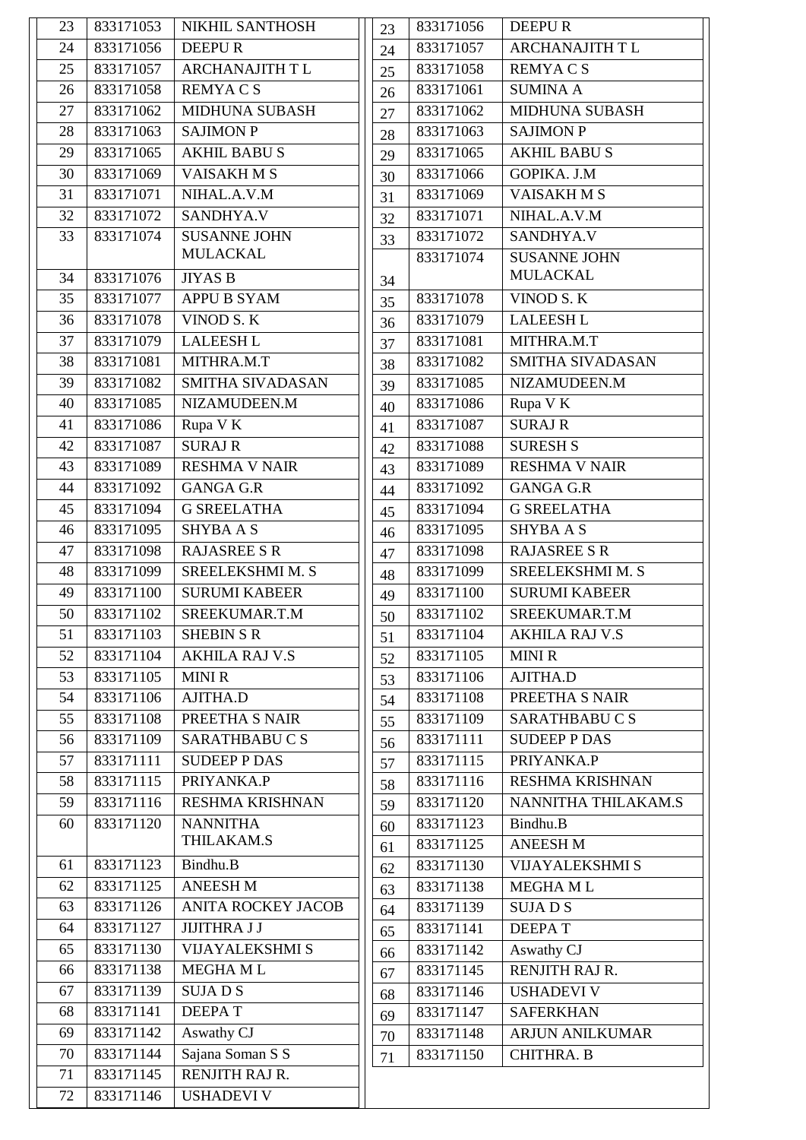| 23 | 833171053 | NIKHIL SANTHOSH               | 23 | 833171056 | <b>DEEPUR</b>          |
|----|-----------|-------------------------------|----|-----------|------------------------|
| 24 | 833171056 | <b>DEEPUR</b>                 | 24 | 833171057 | ARCHANAJITH T L        |
| 25 | 833171057 | <b>ARCHANAJITH T L</b>        | 25 | 833171058 | <b>REMYACS</b>         |
| 26 | 833171058 | <b>REMYACS</b>                | 26 | 833171061 | <b>SUMINA A</b>        |
| 27 | 833171062 | <b>MIDHUNA SUBASH</b>         | 27 | 833171062 | <b>MIDHUNA SUBASH</b>  |
| 28 | 833171063 | <b>SAJIMON P</b>              | 28 | 833171063 | <b>SAJIMON P</b>       |
| 29 | 833171065 | <b>AKHIL BABUS</b>            | 29 | 833171065 | <b>AKHIL BABUS</b>     |
| 30 | 833171069 | VAISAKHMS                     | 30 | 833171066 | GOPIKA. J.M            |
| 31 | 833171071 | NIHAL.A.V.M                   | 31 | 833171069 | <b>VAISAKHMS</b>       |
| 32 | 833171072 | SANDHYA.V                     | 32 | 833171071 | NIHAL.A.V.M            |
| 33 | 833171074 | <b>SUSANNE JOHN</b>           | 33 | 833171072 | SANDHYA.V              |
|    |           | <b>MULACKAL</b>               |    | 833171074 | <b>SUSANNE JOHN</b>    |
| 34 | 833171076 | <b>JIYAS B</b>                | 34 |           | <b>MULACKAL</b>        |
| 35 | 833171077 | <b>APPU B SYAM</b>            | 35 | 833171078 | VINOD S.K              |
| 36 | 833171078 | VINOD S.K                     | 36 | 833171079 | <b>LALEESH L</b>       |
| 37 | 833171079 | <b>LALEESH L</b>              | 37 | 833171081 | MITHRA.M.T             |
| 38 | 833171081 | MITHRA.M.T                    | 38 | 833171082 | SMITHA SIVADASAN       |
| 39 | 833171082 | SMITHA SIVADASAN              | 39 | 833171085 | NIZAMUDEEN.M           |
| 40 | 833171085 | NIZAMUDEEN.M                  | 40 | 833171086 | Rupa V K               |
| 41 | 833171086 | Rupa V K                      | 41 | 833171087 | <b>SURAJ R</b>         |
| 42 | 833171087 | <b>SURAJ R</b>                | 42 | 833171088 | <b>SURESH S</b>        |
| 43 | 833171089 | <b>RESHMA V NAIR</b>          | 43 | 833171089 | <b>RESHMA V NAIR</b>   |
| 44 | 833171092 | <b>GANGA G.R</b>              | 44 | 833171092 | <b>GANGA G.R</b>       |
| 45 | 833171094 | <b>G SREELATHA</b>            | 45 | 833171094 | <b>G SREELATHA</b>     |
| 46 | 833171095 | <b>SHYBAAS</b>                | 46 | 833171095 | <b>SHYBA A S</b>       |
| 47 | 833171098 | <b>RAJASREE S R</b>           | 47 | 833171098 | <b>RAJASREE S R</b>    |
| 48 | 833171099 | <b>SREELEKSHMI M. S</b>       | 48 | 833171099 | SREELEKSHMI M. S       |
| 49 | 833171100 | <b>SURUMI KABEER</b>          | 49 | 833171100 | <b>SURUMI KABEER</b>   |
| 50 | 833171102 | SREEKUMAR.T.M                 | 50 | 833171102 | SREEKUMAR.T.M          |
| 51 | 833171103 | <b>SHEBIN S R</b>             | 51 | 833171104 | <b>AKHILA RAJ V.S</b>  |
| 52 | 833171104 | <b>AKHILA RAJ V.S</b>         | 52 | 833171105 | <b>MINIR</b>           |
| 53 | 833171105 | <b>MINIR</b>                  | 53 | 833171106 | AJITHA.D               |
| 54 | 833171106 | AJITHA.D                      | 54 | 833171108 | PREETHA S NAIR         |
| 55 | 833171108 | PREETHA S NAIR                | 55 | 833171109 | SARATHBABUCS           |
| 56 | 833171109 | SARATHBABUCS                  | 56 | 833171111 | <b>SUDEEP P DAS</b>    |
| 57 | 833171111 | <b>SUDEEP P DAS</b>           | 57 | 833171115 | PRIYANKA.P             |
| 58 | 833171115 | PRIYANKA.P                    | 58 | 833171116 | <b>RESHMA KRISHNAN</b> |
| 59 | 833171116 | RESHMA KRISHNAN               | 59 | 833171120 | NANNITHA THILAKAM.S    |
| 60 | 833171120 | <b>NANNITHA</b><br>THILAKAM.S | 60 | 833171123 | Bindhu.B               |
|    |           |                               | 61 | 833171125 | <b>ANEESH M</b>        |
| 61 | 833171123 | Bindhu.B                      | 62 | 833171130 | <b>VIJAYALEKSHMI S</b> |
| 62 | 833171125 | <b>ANEESH M</b>               | 63 | 833171138 | MEGHA ML               |
| 63 | 833171126 | <b>ANITA ROCKEY JACOB</b>     | 64 | 833171139 | <b>SUJADS</b>          |
| 64 | 833171127 | <b>JIJITHRA J J</b>           | 65 | 833171141 | <b>DEEPAT</b>          |
| 65 | 833171130 | <b>VIJAYALEKSHMI S</b>        | 66 | 833171142 | Aswathy CJ             |
| 66 | 833171138 | <b>MEGHAML</b>                | 67 | 833171145 | <b>RENJITH RAJ R.</b>  |
| 67 | 833171139 | <b>SUJADS</b>                 | 68 | 833171146 | <b>USHADEVI V</b>      |
| 68 | 833171141 | <b>DEEPAT</b>                 | 69 | 833171147 | <b>SAFERKHAN</b>       |
| 69 | 833171142 | Aswathy CJ                    | 70 | 833171148 | <b>ARJUN ANILKUMAR</b> |
| 70 | 833171144 | Sajana Soman S S              | 71 | 833171150 | <b>CHITHRA. B</b>      |
| 71 | 833171145 | RENJITH RAJ R.                |    |           |                        |
| 72 | 833171146 | <b>USHADEVI V</b>             |    |           |                        |